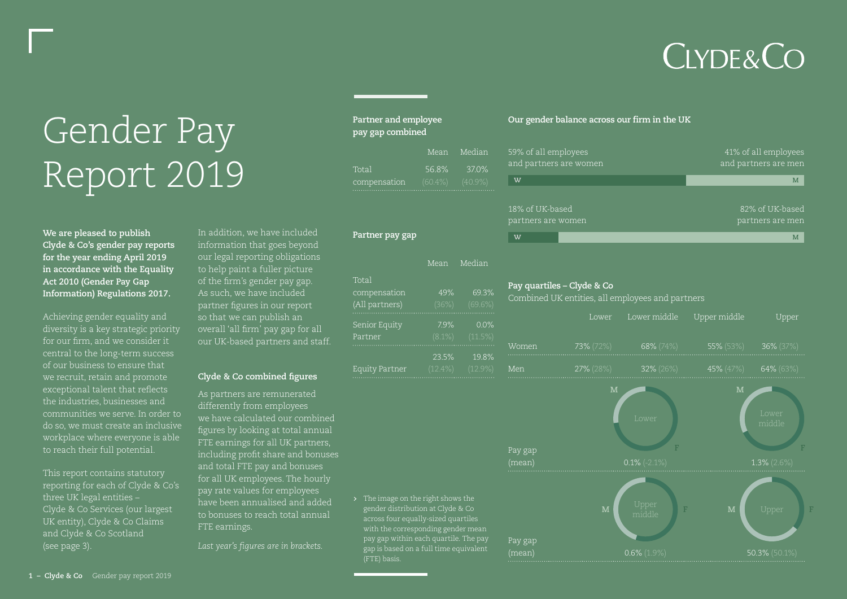## **CLYDE&CO**

# **Cender** balance across our firm in the UK<br>Pay gap combined<br>pay gap combined Report 2019

**We are pleased to publish Clyde & Co's gender pay reports for the year ending April 2019 in accordance with the Equality Act 2010 (Gender Pay Gap Information) Regulations 2017.**

Achieving gender equality and diversity is a key strategic priority for our firm, and we consider it central to the long-term success of our business to ensure that we recruit, retain and promote exceptional talent that reflects the industries, businesses and communities we serve. In order to do so, we must create an inclusive workplace where everyone is able to reach their full potential.

This report contains statutory reporting for each of Clyde & Co's three UK legal entities – Clyde & Co Services (our largest UK entity), Clyde & Co Claims and Clyde & Co Scotland (see page 3).

In addition, we have included information that goes beyond our legal reporting obligations to help paint a fuller picture of the firm's gender pay gap. As such, we have included partner figures in our report so that we can publish an overall 'all firm' pay gap for all our UK-based partners and staff.

#### **Clyde & Co combined figures**

As partners are remunerated differently from employees we have calculated our combined figures by looking at total annual FTE earnings for all UK partners, including profit share and bonuses and total FTE pay and bonuses for all UK employees. The hourly pay rate values for employees have been annualised and added to bonuses to reach total annual FTE earnings.

*Last year's figures are in brackets.*

| Partner and employee<br>pay gap combined |         |  |  |
|------------------------------------------|---------|--|--|
|                                          | Mean Me |  |  |
| Total                                    | 56.8%   |  |  |

| Total                                | 56.8% 37.0% |
|--------------------------------------|-------------|
| $compensation$ $(60.4\%)$ $(40.9\%)$ |             |
|                                      |             |

lian

#### **Partner pay gap**

|                | Mean     | Median     |
|----------------|----------|------------|
| Total          |          |            |
| compensation   | 49%      | 69.3%      |
| (All partners) | (36%)    | (69.6%)    |
| Senior Equity  | 7.9%     | 0.0%       |
| Partner        | (8.1%)   | (11.5%)    |
|                | 23.5%    | 19.8%      |
| Equity Partner | $12.4\%$ | $(12.9\%)$ |

> The image on the right shows the gender distribution at Clyde & Co across four equally-sized quartiles with the corresponding gender mean pay gap within each quartile. The pay gap is based on a full time equivalent (FTE) basis.

| 59% of all employees   | 41% of all employees |
|------------------------|----------------------|
| and partners are women | and partners are men |
| W                      | M                    |
| 18% of UK-based        | 82% of UK-based      |
| partners are women     | partners are men     |
| W                      |                      |

#### **Pay quartiles – Clyde & Co**

Combined UK entities, all employees and partners

|       | Lower         | Lower middle  | Upper middle | Upper        |
|-------|---------------|---------------|--------------|--------------|
| Women | $73\% (72\%)$ | $68\% (74\%)$ | 55% (53%)    | $36\%$ (37%) |
| Men   | $27\%$ (28%)  | $32\%$ (26%)  | 45% $(47%)$  | $64\%$ (63%) |

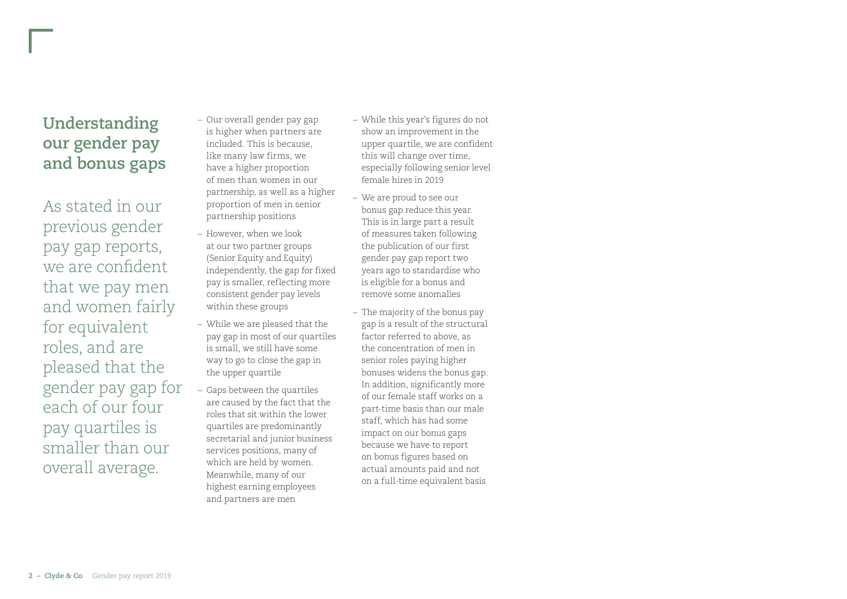As stated in our previous gender pay gap reports, we are confident that we pay men and women fairly for equivalent roles, and are pleased that the gender pay gap for each of our four pay quartiles is smaller than our overall average.

- *–* Our overall gender pay gap is higher when partners are included. This is because, like many law firms, we have a higher proportion of men than women in our partnership, as well as a higher proportion of men in senior partnership positions
- *–* However, when we look at our two partner groups (Senior Equity and Equity) independently, the gap for fixed pay is smaller, reflecting more consistent gender pay levels within these groups
- *–* While we are pleased that the pay gap in most of our quartiles is small, we still have some way to go to close the gap in the upper quartile
- *–* Gaps between the quartiles are caused by the fact that the roles that sit within the lower quartiles are predominantly secretarial and junior business services positions, many of which are held by women. Meanwhile, many of our highest earning employees and partners are men
- *–* While this year's figures do not show an improvement in the upper quartile, we are confident this will change over time, especially following senior level female hires in 2019
- *–* We are proud to see our bonus gap reduce this year. This is in large part a result of measures taken following the publication of our first gender pay gap report two years ago to standardise who is eligible for a bonus and remove some anomalies
- *–* The majority of the bonus pay gap is a result of the structural factor referred to above, as the concentration of men in senior roles paying higher bonuses widens the bonus gap. In addition, significantly more of our female staff works on a part-time basis than our male staff, which has had some impact on our bonus gaps because we have to report on bonus figures based on actual amounts paid and not on a full-time equivalent basis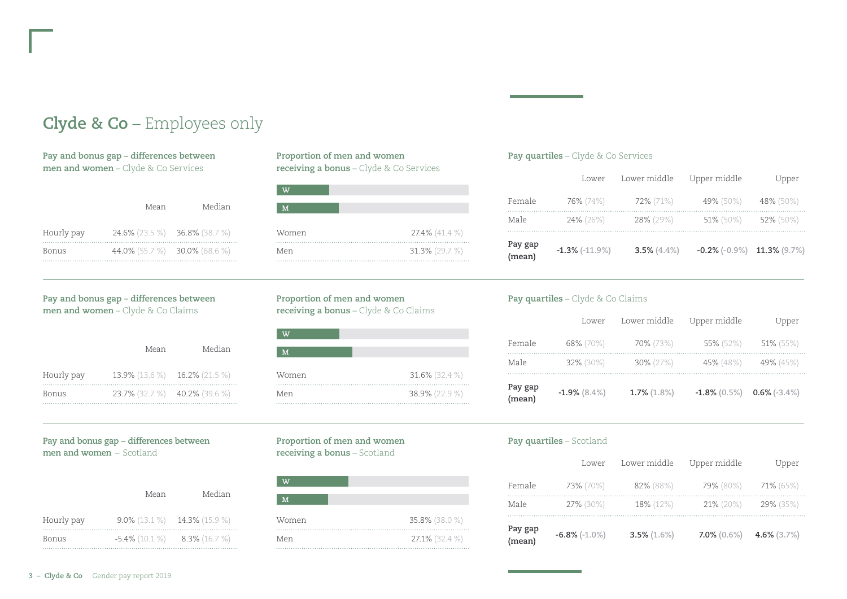### **Clyde & Co** – Employees only

**Pay and bonus gap – differences between men and women** – Clyde & Co Services

|            | Mean                          | Median |
|------------|-------------------------------|--------|
| Hourly pay | 24.6% (23.5 %) 36.8% (38.7 %) |        |
| Bonus      | 44.0% (55.7 %) 30.0% (68.6 %) |        |

#### **Pay and bonus gap – differences between men and women** – Clyde & Co Claims

|            | Mean                          | Median |
|------------|-------------------------------|--------|
| Hourly pay | 13.9% (13.6 %) 16.2% (21.5 %) |        |
| Bonus      | 23.7% (32.7 %) 40.2% (39.6 %) |        |

#### **Proportion of men and women receiving a bonus** – Clyde & Co Services

| $\overline{\mathbf{v}}$ |                |
|-------------------------|----------------|
| M                       |                |
| Women                   | 27.4% (41.4 %) |
| Men                     | 31.3% (29.7 %) |

#### **Proportion of men and women receiving a bonus** – Clyde & Co Claims

| w     |                |
|-------|----------------|
| M     |                |
| Women | 31.6% (32.4 %) |
| Men   | 38.9% (22.9 %) |

#### **Pay and bonus gap – differences between men and women** – Scotland

|            | Mean | Median                          |
|------------|------|---------------------------------|
| Hourly pay |      | $9.0\%$ (13.1 %) 14.3% (15.9 %) |
| Bonus      |      | $-5.4\%$ (10.1 %) 8.3% (16.7 %) |

#### **Proportion of men and women receiving a bonus** – Scotland

| w     |                |
|-------|----------------|
| M     |                |
| Women | 35.8% (38.0 %) |
| Men   | 27.1% (32.4 %) |

#### **Pay quartiles** – Clyde & Co Services

| Pay gap<br>(mean) | $-1.3\%$ (-11.9%) | 3.5% $(4.4\%)$ | $-0.2\%$ (-0.9%) 11.3% (9.7%) |           |
|-------------------|-------------------|----------------|-------------------------------|-----------|
| Male              | 24% (26%)         | 28% (29%)      | 51% (50%)                     | 52% (50%) |
| Female            | 76% (74%)         | 72% (71%)      | 49% (50%)                     | 48% (50%) |
|                   | Lower             | Lower middle   | Upper middle                  | Upper     |

#### **Pay quartiles** – Clyde & Co Claims

| Pay gap<br>(mean) | $-1.9\%$ (8.4%) | $1.7\%$ $(1.8\%)$ | $-1.8\%$ (0.5%) 0.6% (-3.4%) |              |
|-------------------|-----------------|-------------------|------------------------------|--------------|
| Male              | 32% (30%)       | $30\% (27\%)$     | 45% (48%)                    | 49% (45%)    |
| Female            | 68% (70%)       | 70% (73%)         | $55\%$ (52%)                 | $51\%$ (55%) |
|                   | Lower           | Lower middle      | Upper middle                 | Upper        |

#### **Pay quartiles** – Scotland

| Pay gap<br>(mean) | $-6.8\%$ (-1.0%) | $3.5\%$ (1.6%) | 7.0% $(0.6\%)$ 4.6% $(3.7\%)$ |                         |
|-------------------|------------------|----------------|-------------------------------|-------------------------|
| Male              | 27% (30%)        | 18% (12%)      |                               | $21\% (20\%)$ 29% (35%) |
| Female            | 73% (70%)        | 82% (88%)      |                               | 79% (80%) 71% (65%)     |
|                   | Lower            | Lower middle   | Upper middle                  | Upper                   |